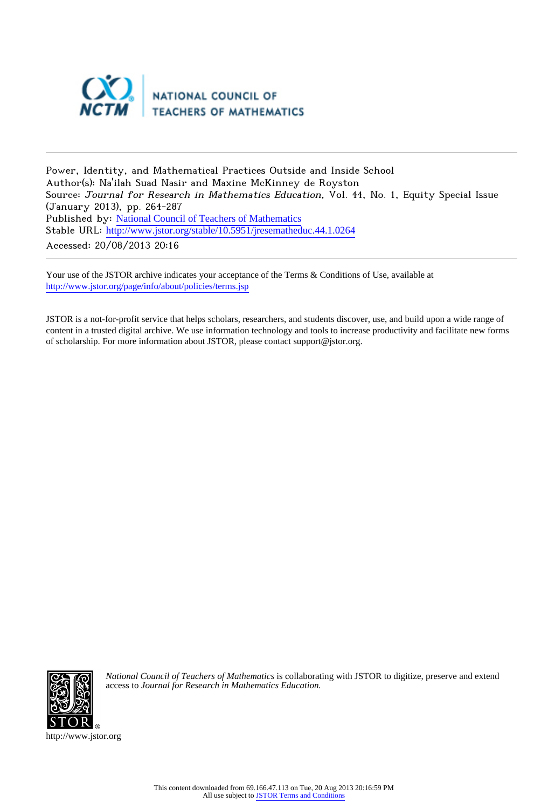

Power, Identity, and Mathematical Practices Outside and Inside School Author(s): Na'ilah Suad Nasir and Maxine McKinney de Royston Source: Journal for Research in Mathematics Education, Vol. 44, No. 1, Equity Special Issue (January 2013), pp. 264-287 Published by: [National Council of Teachers of Mathematics](http://www.jstor.org/action/showPublisher?publisherCode=nctm) Stable URL: http://www.jstor.org/stable/10.5951/jresematheduc.44.1.0264 Accessed: 20/08/2013 20:16

Your use of the JSTOR archive indicates your acceptance of the Terms & Conditions of Use, available at <http://www.jstor.org/page/info/about/policies/terms.jsp>

JSTOR is a not-for-profit service that helps scholars, researchers, and students discover, use, and build upon a wide range of content in a trusted digital archive. We use information technology and tools to increase productivity and facilitate new forms of scholarship. For more information about JSTOR, please contact support@jstor.org.



*National Council of Teachers of Mathematics* is collaborating with JSTOR to digitize, preserve and extend access to *Journal for Research in Mathematics Education.*

http://www.jstor.org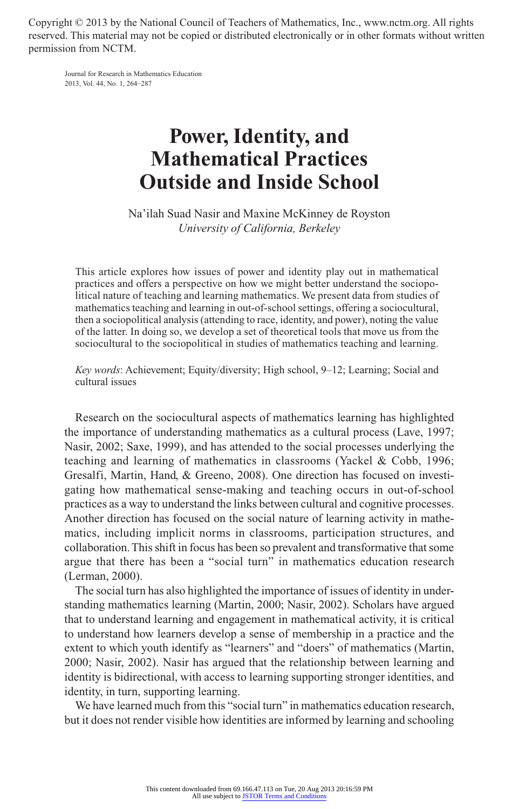Copyright © 2013 by the National Council of Teachers of Mathematics, Inc., www.nctm.org. All rights reserved. This material may not be copied or distributed electronically or in other formats without written permission from NCTM.

Journal for Research in Mathematics Education 2013, Vol. 44, No. 1, 264–287

# **Power, Identity, and Mathematical Practices Outside and Inside School**

Na'ilah Suad Nasir and Maxine McKinney de Royston *University of California, Berkeley*

This article explores how issues of power and identity play out in mathematical practices and offers a perspective on how we might better understand the sociopolitical nature of teaching and learning mathematics. We present data from studies of mathematics teaching and learning in out-of-school settings, offering a sociocultural, then a sociopolitical analysis (attending to race, identity, and power), noting the value of the latter. In doing so, we develop a set of theoretical tools that move us from the sociocultural to the sociopolitical in studies of mathematics teaching and learning.

*Key words*: Achievement; Equity/diversity; High school, 9–12; Learning; Social and cultural issues

Research on the sociocultural aspects of mathematics learning has highlighted the importance of understanding mathematics as a cultural process (Lave, 1997; Nasir, 2002; Saxe, 1999), and has attended to the social processes underlying the teaching and learning of mathematics in classrooms (Yackel & Cobb, 1996; Gresalfi, Martin, Hand, & Greeno, 2008). One direction has focused on investigating how mathematical sense-making and teaching occurs in out-of-school practices as a way to understand the links between cultural and cognitive processes. Another direction has focused on the social nature of learning activity in mathematics, including implicit norms in classrooms, participation structures, and collaboration. This shift in focus has been so prevalent and transformative that some argue that there has been a "social turn" in mathematics education research (Lerman, 2000).

The social turn has also highlighted the importance of issues of identity in understanding mathematics learning (Martin, 2000; Nasir, 2002). Scholars have argued that to understand learning and engagement in mathematical activity, it is critical to understand how learners develop a sense of membership in a practice and the extent to which youth identify as "learners" and "doers" of mathematics (Martin, 2000; Nasir, 2002). Nasir has argued that the relationship between learning and identity is bidirectional, with access to learning supporting stronger identities, and identity, in turn, supporting learning.

We have learned much from this "social turn" in mathematics education research, but it does not render visible how identities are informed by learning and schooling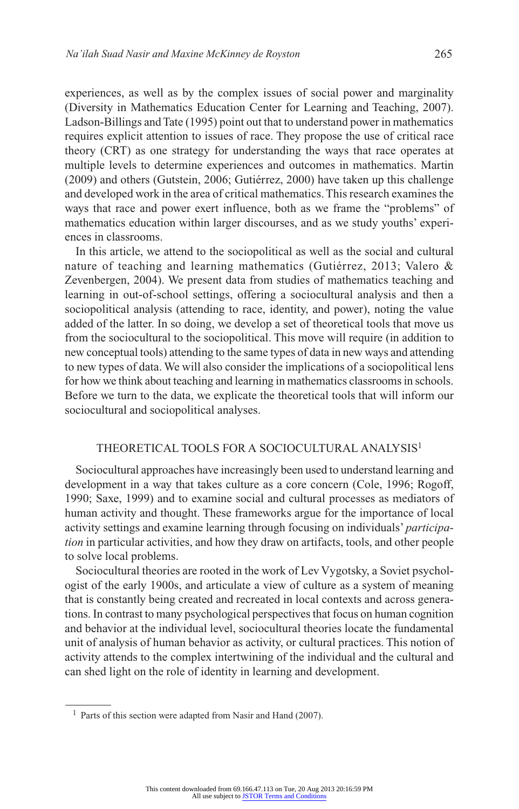experiences, as well as by the complex issues of social power and marginality (Diversity in Mathematics Education Center for Learning and Teaching, 2007). Ladson-Billings and Tate (1995) point out that to understand power in mathematics requires explicit attention to issues of race. They propose the use of critical race theory (CRT) as one strategy for understanding the ways that race operates at multiple levels to determine experiences and outcomes in mathematics. Martin (2009) and others (Gutstein, 2006; Gutiérrez, 2000) have taken up this challenge and developed work in the area of critical mathematics. This research examines the ways that race and power exert influence, both as we frame the "problems" of mathematics education within larger discourses, and as we study youths' experiences in classrooms.

In this article, we attend to the sociopolitical as well as the social and cultural nature of teaching and learning mathematics (Gutiérrez, 2013; Valero & Zevenbergen, 2004). We present data from studies of mathematics teaching and learning in out-of-school settings, offering a sociocultural analysis and then a sociopolitical analysis (attending to race, identity, and power), noting the value added of the latter. In so doing, we develop a set of theoretical tools that move us from the sociocultural to the sociopolitical. This move will require (in addition to new conceptual tools) attending to the same types of data in new ways and attending to new types of data. We will also consider the implications of a sociopolitical lens for how we think about teaching and learning in mathematics classrooms in schools. Before we turn to the data, we explicate the theoretical tools that will inform our sociocultural and sociopolitical analyses.

# THEORETICAL TOOLS FOR A SOCIOCULTURAL ANALYSIS1

Sociocultural approaches have increasingly been used to understand learning and development in a way that takes culture as a core concern (Cole, 1996; Rogoff, 1990; Saxe, 1999) and to examine social and cultural processes as mediators of human activity and thought. These frameworks argue for the importance of local activity settings and examine learning through focusing on individuals' *participation* in particular activities, and how they draw on artifacts, tools, and other people to solve local problems.

Sociocultural theories are rooted in the work of Lev Vygotsky, a Soviet psychologist of the early 1900s, and articulate a view of culture as a system of meaning that is constantly being created and recreated in local contexts and across generations. In contrast to many psychological perspectives that focus on human cognition and behavior at the individual level, sociocultural theories locate the fundamental unit of analysis of human behavior as activity, or cultural practices. This notion of activity attends to the complex intertwining of the individual and the cultural and can shed light on the role of identity in learning and development.

<sup>&</sup>lt;sup>1</sup> Parts of this section were adapted from Nasir and Hand (2007).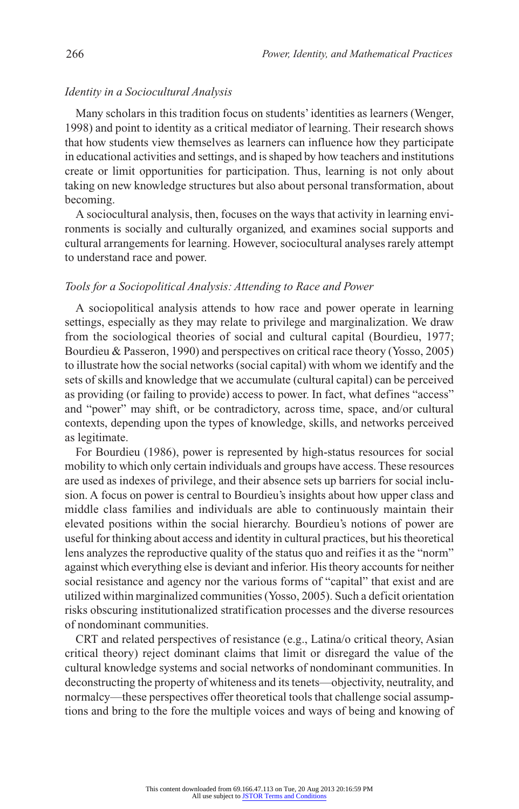#### *Identity in a Sociocultural Analysis*

Many scholars in this tradition focus on students' identities as learners (Wenger, 1998) and point to identity as a critical mediator of learning. Their research shows that how students view themselves as learners can influence how they participate in educational activities and settings, and is shaped by how teachers and institutions create or limit opportunities for participation. Thus, learning is not only about taking on new knowledge structures but also about personal transformation, about becoming.

A sociocultural analysis, then, focuses on the ways that activity in learning environments is socially and culturally organized, and examines social supports and cultural arrangements for learning. However, sociocultural analyses rarely attempt to understand race and power.

## *Tools for a Sociopolitical Analysis: Attending to Race and Power*

A sociopolitical analysis attends to how race and power operate in learning settings, especially as they may relate to privilege and marginalization. We draw from the sociological theories of social and cultural capital (Bourdieu, 1977; Bourdieu & Passeron, 1990) and perspectives on critical race theory (Yosso, 2005) to illustrate how the social networks (social capital) with whom we identify and the sets of skills and knowledge that we accumulate (cultural capital) can be perceived as providing (or failing to provide) access to power. In fact, what defines "access" and "power" may shift, or be contradictory, across time, space, and/or cultural contexts, depending upon the types of knowledge, skills, and networks perceived as legitimate.

For Bourdieu (1986), power is represented by high-status resources for social mobility to which only certain individuals and groups have access. These resources are used as indexes of privilege, and their absence sets up barriers for social inclusion. A focus on power is central to Bourdieu's insights about how upper class and middle class families and individuals are able to continuously maintain their elevated positions within the social hierarchy. Bourdieu's notions of power are useful for thinking about access and identity in cultural practices, but his theoretical lens analyzes the reproductive quality of the status quo and reifies it as the "norm" against which everything else is deviant and inferior. His theory accounts for neither social resistance and agency nor the various forms of "capital" that exist and are utilized within marginalized communities (Yosso, 2005). Such a deficit orientation risks obscuring institutionalized stratification processes and the diverse resources of nondominant communities.

CRT and related perspectives of resistance (e.g., Latina/o critical theory, Asian critical theory) reject dominant claims that limit or disregard the value of the cultural knowledge systems and social networks of nondominant communities. In deconstructing the property of whiteness and its tenets—objectivity, neutrality, and normalcy—these perspectives offer theoretical tools that challenge social assumptions and bring to the fore the multiple voices and ways of being and knowing of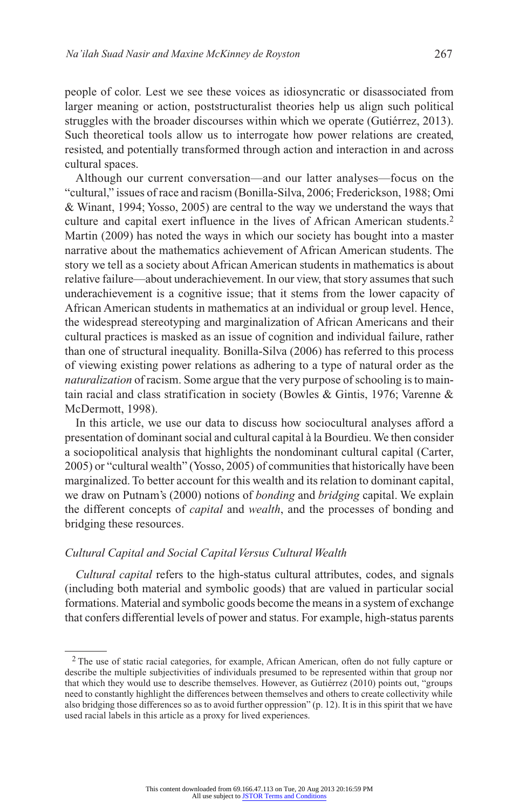people of color. Lest we see these voices as idiosyncratic or disassociated from larger meaning or action, poststructuralist theories help us align such political struggles with the broader discourses within which we operate (Gutiérrez, 2013). Such theoretical tools allow us to interrogate how power relations are created, resisted, and potentially transformed through action and interaction in and across cultural spaces.

Although our current conversation—and our latter analyses—focus on the "cultural," issues of race and racism (Bonilla-Silva, 2006; Frederickson, 1988; Omi & Winant, 1994; Yosso, 2005) are central to the way we understand the ways that culture and capital exert influence in the lives of African American students.2 Martin (2009) has noted the ways in which our society has bought into a master narrative about the mathematics achievement of African American students. The story we tell as a society about African American students in mathematics is about relative failure—about underachievement. In our view, that story assumes that such underachievement is a cognitive issue; that it stems from the lower capacity of African American students in mathematics at an individual or group level. Hence, the widespread stereotyping and marginalization of African Americans and their cultural practices is masked as an issue of cognition and individual failure, rather than one of structural inequality. Bonilla-Silva (2006) has referred to this process of viewing existing power relations as adhering to a type of natural order as the *naturalization* of racism. Some argue that the very purpose of schooling is to maintain racial and class stratification in society (Bowles & Gintis, 1976; Varenne & McDermott, 1998).

In this article, we use our data to discuss how sociocultural analyses afford a presentation of dominant social and cultural capital à la Bourdieu. We then consider a sociopolitical analysis that highlights the nondominant cultural capital (Carter, 2005) or "cultural wealth" (Yosso, 2005) of communities that historically have been marginalized. To better account for this wealth and its relation to dominant capital, we draw on Putnam's (2000) notions of *bonding* and *bridging* capital. We explain the different concepts of *capital* and *wealth*, and the processes of bonding and bridging these resources.

### *Cultural Capital and Social Capital Versus Cultural Wealth*

*Cultural capital* refers to the high-status cultural attributes, codes, and signals (including both material and symbolic goods) that are valued in particular social formations. Material and symbolic goods become the means in a system of exchange that confers differential levels of power and status. For example, high-status parents

<sup>2</sup> The use of static racial categories, for example, African American, often do not fully capture or describe the multiple subjectivities of individuals presumed to be represented within that group nor that which they would use to describe themselves. However, as Gutiérrez (2010) points out, "groups need to constantly highlight the differences between themselves and others to create collectivity while also bridging those differences so as to avoid further oppression" (p. 12). It is in this spirit that we have used racial labels in this article as a proxy for lived experiences.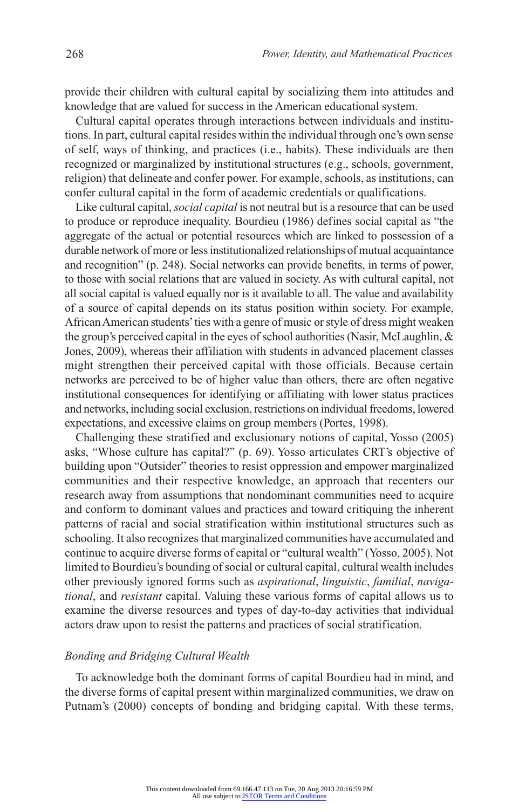provide their children with cultural capital by socializing them into attitudes and knowledge that are valued for success in the American educational system.

Cultural capital operates through interactions between individuals and institutions. In part, cultural capital resides within the individual through one's own sense of self, ways of thinking, and practices (i.e., habits). These individuals are then recognized or marginalized by institutional structures (e.g., schools, government, religion) that delineate and confer power. For example, schools, as institutions, can confer cultural capital in the form of academic credentials or qualifications.

Like cultural capital, *social capital* is not neutral but is a resource that can be used to produce or reproduce inequality. Bourdieu (1986) defines social capital as "the aggregate of the actual or potential resources which are linked to possession of a durable network of more or less institutionalized relationships of mutual acquaintance and recognition" (p. 248). Social networks can provide benefits, in terms of power, to those with social relations that are valued in society. As with cultural capital, not all social capital is valued equally nor is it available to all. The value and availability of a source of capital depends on its status position within society. For example, African American students' ties with a genre of music or style of dress might weaken the group's perceived capital in the eyes of school authorities (Nasir, McLaughlin, & Jones, 2009), whereas their affiliation with students in advanced placement classes might strengthen their perceived capital with those officials. Because certain networks are perceived to be of higher value than others, there are often negative institutional consequences for identifying or affiliating with lower status practices and networks, including social exclusion, restrictions on individual freedoms, lowered expectations, and excessive claims on group members (Portes, 1998).

Challenging these stratified and exclusionary notions of capital, Yosso (2005) asks, "Whose culture has capital?" (p. 69). Yosso articulates CRT's objective of building upon "Outsider" theories to resist oppression and empower marginalized communities and their respective knowledge, an approach that recenters our research away from assumptions that nondominant communities need to acquire and conform to dominant values and practices and toward critiquing the inherent patterns of racial and social stratification within institutional structures such as schooling. It also recognizes that marginalized communities have accumulated and continue to acquire diverse forms of capital or "cultural wealth" (Yosso, 2005). Not limited to Bourdieu's bounding of social or cultural capital, cultural wealth includes other previously ignored forms such as *aspirational*, *linguistic*, *familial*, *navigational*, and *resistant* capital. Valuing these various forms of capital allows us to examine the diverse resources and types of day-to-day activities that individual actors draw upon to resist the patterns and practices of social stratification.

## *Bonding and Bridging Cultural Wealth*

To acknowledge both the dominant forms of capital Bourdieu had in mind, and the diverse forms of capital present within marginalized communities, we draw on Putnam's (2000) concepts of bonding and bridging capital. With these terms,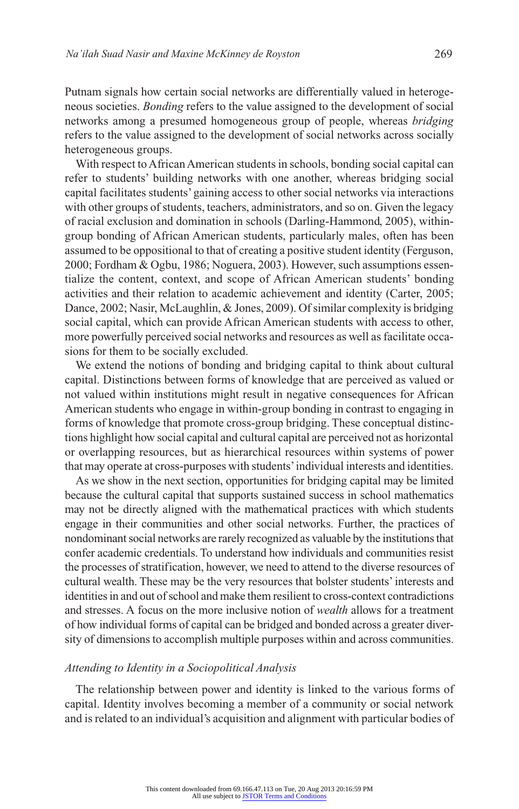Putnam signals how certain social networks are differentially valued in heterogeneous societies. *Bonding* refers to the value assigned to the development of social networks among a presumed homogeneous group of people, whereas *bridging* refers to the value assigned to the development of social networks across socially heterogeneous groups.

With respect to African American students in schools, bonding social capital can refer to students' building networks with one another, whereas bridging social capital facilitates students' gaining access to other social networks via interactions with other groups of students, teachers, administrators, and so on. Given the legacy of racial exclusion and domination in schools (Darling-Hammond, 2005), withingroup bonding of African American students, particularly males, often has been assumed to be oppositional to that of creating a positive student identity (Ferguson, 2000; Fordham & Ogbu, 1986; Noguera, 2003). However, such assumptions essentialize the content, context, and scope of African American students' bonding activities and their relation to academic achievement and identity (Carter, 2005; Dance, 2002; Nasir, McLaughlin, & Jones, 2009). Of similar complexity is bridging social capital, which can provide African American students with access to other, more powerfully perceived social networks and resources as well as facilitate occasions for them to be socially excluded.

We extend the notions of bonding and bridging capital to think about cultural capital. Distinctions between forms of knowledge that are perceived as valued or not valued within institutions might result in negative consequences for African American students who engage in within-group bonding in contrast to engaging in forms of knowledge that promote cross-group bridging. These conceptual distinctions highlight how social capital and cultural capital are perceived not as horizontal or overlapping resources, but as hierarchical resources within systems of power that may operate at cross-purposes with students' individual interests and identities.

As we show in the next section, opportunities for bridging capital may be limited because the cultural capital that supports sustained success in school mathematics may not be directly aligned with the mathematical practices with which students engage in their communities and other social networks. Further, the practices of nondominant social networks are rarely recognized as valuable by the institutions that confer academic credentials. To understand how individuals and communities resist the processes of stratification, however, we need to attend to the diverse resources of cultural wealth. These may be the very resources that bolster students' interests and identities in and out of school and make them resilient to cross-context contradictions and stresses. A focus on the more inclusive notion of *wealth* allows for a treatment of how individual forms of capital can be bridged and bonded across a greater diversity of dimensions to accomplish multiple purposes within and across communities.

## *Attending to Identity in a Sociopolitical Analysis*

The relationship between power and identity is linked to the various forms of capital. Identity involves becoming a member of a community or social network and is related to an individual's acquisition and alignment with particular bodies of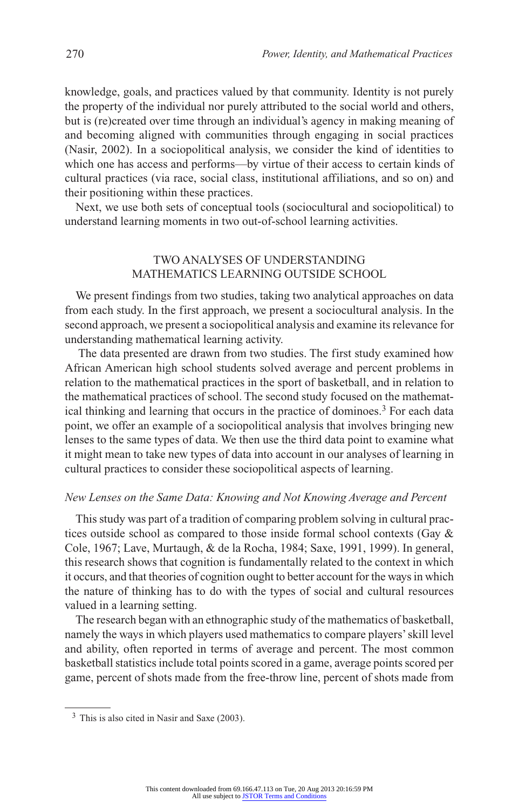knowledge, goals, and practices valued by that community. Identity is not purely the property of the individual nor purely attributed to the social world and others, but is (re)created over time through an individual's agency in making meaning of and becoming aligned with communities through engaging in social practices (Nasir, 2002). In a sociopolitical analysis, we consider the kind of identities to which one has access and performs—by virtue of their access to certain kinds of cultural practices (via race, social class, institutional affiliations, and so on) and their positioning within these practices.

Next, we use both sets of conceptual tools (sociocultural and sociopolitical) to understand learning moments in two out-of-school learning activities.

## TWO ANALYSES OF UNDERSTANDING MATHEMATICS LEARNING OUTSIDE SCHOOL

We present findings from two studies, taking two analytical approaches on data from each study. In the first approach, we present a sociocultural analysis. In the second approach, we present a sociopolitical analysis and examine its relevance for understanding mathematical learning activity.

 The data presented are drawn from two studies. The first study examined how African American high school students solved average and percent problems in relation to the mathematical practices in the sport of basketball, and in relation to the mathematical practices of school. The second study focused on the mathematical thinking and learning that occurs in the practice of dominoes.<sup>3</sup> For each data point, we offer an example of a sociopolitical analysis that involves bringing new lenses to the same types of data. We then use the third data point to examine what it might mean to take new types of data into account in our analyses of learning in cultural practices to consider these sociopolitical aspects of learning.

## *New Lenses on the Same Data: Knowing and Not Knowing Average and Percent*

This study was part of a tradition of comparing problem solving in cultural practices outside school as compared to those inside formal school contexts (Gay & Cole, 1967; Lave, Murtaugh, & de la Rocha, 1984; Saxe, 1991, 1999). In general, this research shows that cognition is fundamentally related to the context in which it occurs, and that theories of cognition ought to better account for the ways in which the nature of thinking has to do with the types of social and cultural resources valued in a learning setting.

The research began with an ethnographic study of the mathematics of basketball, namely the ways in which players used mathematics to compare players' skill level and ability, often reported in terms of average and percent. The most common basketball statistics include total points scored in a game, average points scored per game, percent of shots made from the free-throw line, percent of shots made from

<sup>3</sup> This is also cited in Nasir and Saxe (2003).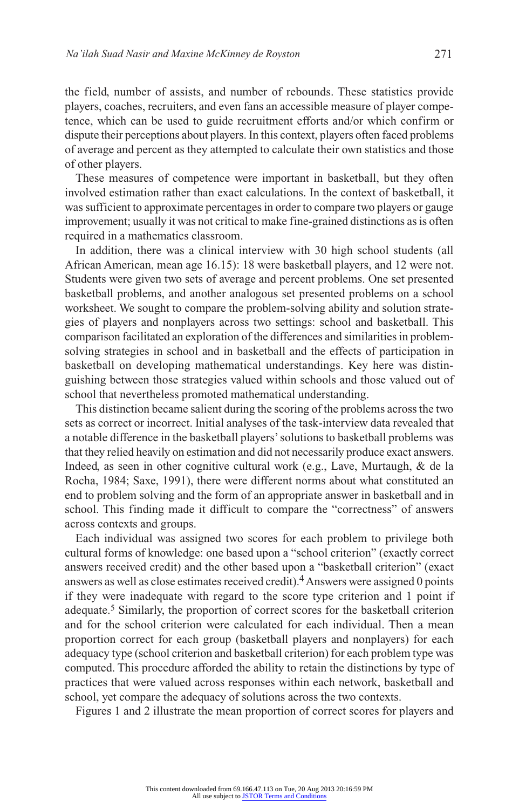the field, number of assists, and number of rebounds. These statistics provide players, coaches, recruiters, and even fans an accessible measure of player competence, which can be used to guide recruitment efforts and/or which confirm or dispute their perceptions about players. In this context, players often faced problems of average and percent as they attempted to calculate their own statistics and those of other players.

These measures of competence were important in basketball, but they often involved estimation rather than exact calculations. In the context of basketball, it was sufficient to approximate percentages in order to compare two players or gauge improvement; usually it was not critical to make fine-grained distinctions as is often required in a mathematics classroom.

In addition, there was a clinical interview with 30 high school students (all African American, mean age 16.15): 18 were basketball players, and 12 were not. Students were given two sets of average and percent problems. One set presented basketball problems, and another analogous set presented problems on a school worksheet. We sought to compare the problem-solving ability and solution strategies of players and nonplayers across two settings: school and basketball. This comparison facilitated an exploration of the differences and similarities in problemsolving strategies in school and in basketball and the effects of participation in basketball on developing mathematical understandings. Key here was distinguishing between those strategies valued within schools and those valued out of school that nevertheless promoted mathematical understanding.

This distinction became salient during the scoring of the problems across the two sets as correct or incorrect. Initial analyses of the task-interview data revealed that a notable difference in the basketball players' solutions to basketball problems was that they relied heavily on estimation and did not necessarily produce exact answers. Indeed, as seen in other cognitive cultural work (e.g., Lave, Murtaugh, & de la Rocha, 1984; Saxe, 1991), there were different norms about what constituted an end to problem solving and the form of an appropriate answer in basketball and in school. This finding made it difficult to compare the "correctness" of answers across contexts and groups.

Each individual was assigned two scores for each problem to privilege both cultural forms of knowledge: one based upon a "school criterion" (exactly correct answers received credit) and the other based upon a "basketball criterion" (exact answers as well as close estimates received credit).4 Answers were assigned 0 points if they were inadequate with regard to the score type criterion and 1 point if adequate.<sup>5</sup> Similarly, the proportion of correct scores for the basketball criterion and for the school criterion were calculated for each individual. Then a mean proportion correct for each group (basketball players and nonplayers) for each adequacy type (school criterion and basketball criterion) for each problem type was computed. This procedure afforded the ability to retain the distinctions by type of practices that were valued across responses within each network, basketball and school, yet compare the adequacy of solutions across the two contexts.

Figures 1 and 2 illustrate the mean proportion of correct scores for players and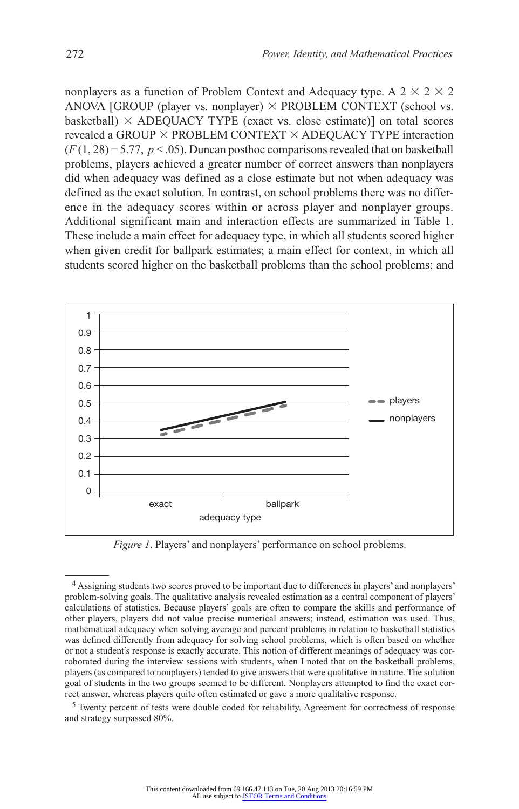nonplayers as a function of Problem Context and Adequacy type. A  $2 \times 2 \times 2$ ANOVA [GROUP (player vs. nonplayer)  $\times$  PROBLEM CONTEXT (school vs. basketball)  $\times$  ADEQUACY TYPE (exact vs. close estimate)] on total scores revealed a GROUP  $\times$  PROBLEM CONTEXT  $\times$  ADEOUACY TYPE interaction  $(F(1, 28) = 5.77, p < .05)$ . Duncan posthoc comparisons revealed that on basketball problems, players achieved a greater number of correct answers than nonplayers did when adequacy was defined as a close estimate but not when adequacy was defined as the exact solution. In contrast, on school problems there was no difference in the adequacy scores within or across player and nonplayer groups. Additional significant main and interaction effects are summarized in Table 1. These include a main effect for adequacy type, in which all students scored higher when given credit for ballpark estimates; a main effect for context, in which all students scored higher on the basketball problems than the school problems; and



*Figure 1*. Players' and nonplayers' performance on school problems.

<sup>4</sup> Assigning students two scores proved to be important due to differences in players' and nonplayers' problem-solving goals. The qualitative analysis revealed estimation as a central component of players' calculations of statistics. Because players' goals are often to compare the skills and performance of other players, players did not value precise numerical answers; instead, estimation was used. Thus, mathematical adequacy when solving average and percent problems in relation to basketball statistics was defined differently from adequacy for solving school problems, which is often based on whether or not a student's response is exactly accurate. This notion of different meanings of adequacy was corroborated during the interview sessions with students, when I noted that on the basketball problems, players (as compared to nonplayers) tended to give answers that were qualitative in nature. The solution goal of students in the two groups seemed to be different. Nonplayers attempted to find the exact correct answer, whereas players quite often estimated or gave a more qualitative response.

<sup>&</sup>lt;sup>5</sup> Twenty percent of tests were double coded for reliability. Agreement for correctness of response and strategy surpassed 80%.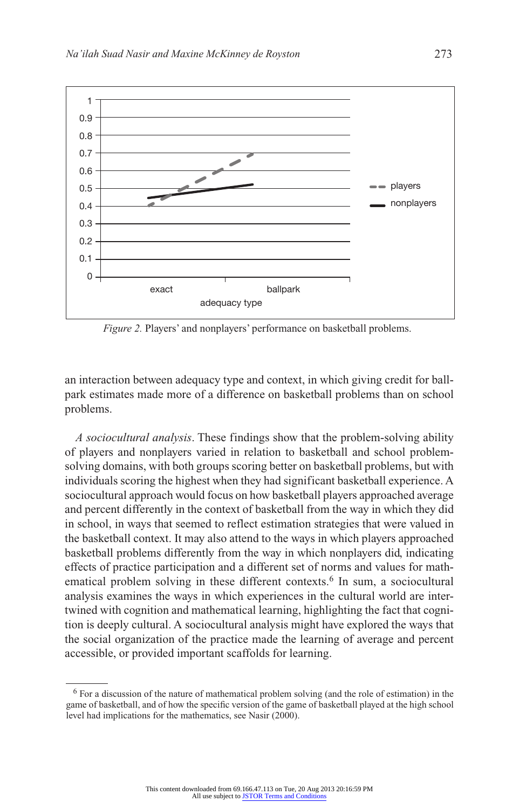

*Figure 2.* Players' and nonplayers' performance on basketball problems.

an interaction between adequacy type and context, in which giving credit for ballpark estimates made more of a difference on basketball problems than on school problems.

*A sociocultural analysis*. These findings show that the problem-solving ability of players and nonplayers varied in relation to basketball and school problemsolving domains, with both groups scoring better on basketball problems, but with individuals scoring the highest when they had significant basketball experience. A sociocultural approach would focus on how basketball players approached average and percent differently in the context of basketball from the way in which they did in school, in ways that seemed to reflect estimation strategies that were valued in the basketball context. It may also attend to the ways in which players approached basketball problems differently from the way in which nonplayers did, indicating effects of practice participation and a different set of norms and values for mathematical problem solving in these different contexts.<sup>6</sup> In sum, a sociocultural analysis examines the ways in which experiences in the cultural world are intertwined with cognition and mathematical learning, highlighting the fact that cognition is deeply cultural. A sociocultural analysis might have explored the ways that the social organization of the practice made the learning of average and percent accessible, or provided important scaffolds for learning.

<sup>6</sup> For a discussion of the nature of mathematical problem solving (and the role of estimation) in the game of basketball, and of how the specific version of the game of basketball played at the high school level had implications for the mathematics, see Nasir (2000).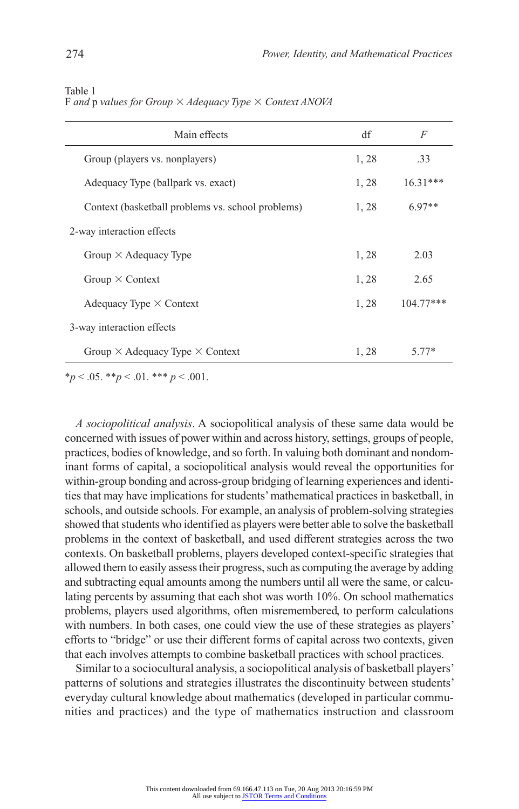| Main effects                                      | df   | F           |
|---------------------------------------------------|------|-------------|
| Group (players vs. nonplayers)                    | 1,28 | .33         |
| Adequacy Type (ballpark vs. exact)                | 1,28 | $16.31***$  |
| Context (basketball problems vs. school problems) | 1,28 | $6.97**$    |
| 2-way interaction effects                         |      |             |
| Group $\times$ Adequacy Type                      | 1,28 | 2.03        |
| Group $\times$ Context                            | 1,28 | 2.65        |
| Adequacy Type $\times$ Context                    | 1,28 | $104.77***$ |
| 3-way interaction effects                         |      |             |
| Group $\times$ Adequacy Type $\times$ Context     | 1,28 | $5.77*$     |

#### Table 1 F *and* p *values for Group Adequacy Type Context ANOVA*

 $*_p$  < .05.  $*_p$  < .01.  $**p$  < .001.

*A sociopolitical analysis*. A sociopolitical analysis of these same data would be concerned with issues of power within and across history, settings, groups of people, practices, bodies of knowledge, and so forth. In valuing both dominant and nondominant forms of capital, a sociopolitical analysis would reveal the opportunities for within-group bonding and across-group bridging of learning experiences and identities that may have implications for students' mathematical practices in basketball, in schools, and outside schools. For example, an analysis of problem-solving strategies showed that students who identified as players were better able to solve the basketball problems in the context of basketball, and used different strategies across the two contexts. On basketball problems, players developed context-specific strategies that allowed them to easily assess their progress, such as computing the average by adding and subtracting equal amounts among the numbers until all were the same, or calculating percents by assuming that each shot was worth 10%. On school mathematics problems, players used algorithms, often misremembered, to perform calculations with numbers. In both cases, one could view the use of these strategies as players' efforts to "bridge" or use their different forms of capital across two contexts, given that each involves attempts to combine basketball practices with school practices.

Similar to a sociocultural analysis, a sociopolitical analysis of basketball players' patterns of solutions and strategies illustrates the discontinuity between students' everyday cultural knowledge about mathematics (developed in particular communities and practices) and the type of mathematics instruction and classroom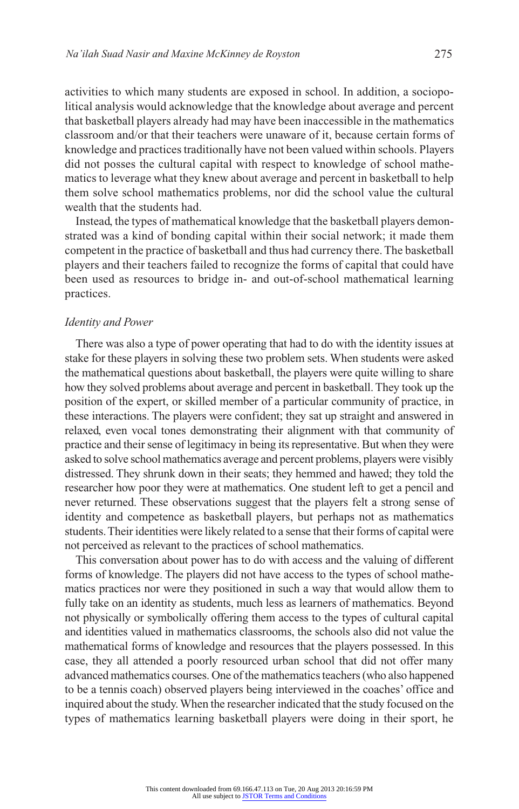activities to which many students are exposed in school. In addition, a sociopolitical analysis would acknowledge that the knowledge about average and percent that basketball players already had may have been inaccessible in the mathematics classroom and/or that their teachers were unaware of it, because certain forms of knowledge and practices traditionally have not been valued within schools. Players did not posses the cultural capital with respect to knowledge of school mathematics to leverage what they knew about average and percent in basketball to help them solve school mathematics problems, nor did the school value the cultural wealth that the students had.

Instead, the types of mathematical knowledge that the basketball players demonstrated was a kind of bonding capital within their social network; it made them competent in the practice of basketball and thus had currency there. The basketball players and their teachers failed to recognize the forms of capital that could have been used as resources to bridge in- and out-of-school mathematical learning practices.

#### *Identity and Power*

There was also a type of power operating that had to do with the identity issues at stake for these players in solving these two problem sets. When students were asked the mathematical questions about basketball, the players were quite willing to share how they solved problems about average and percent in basketball. They took up the position of the expert, or skilled member of a particular community of practice, in these interactions. The players were confident; they sat up straight and answered in relaxed, even vocal tones demonstrating their alignment with that community of practice and their sense of legitimacy in being its representative. But when they were asked to solve school mathematics average and percent problems, players were visibly distressed. They shrunk down in their seats; they hemmed and hawed; they told the researcher how poor they were at mathematics. One student left to get a pencil and never returned. These observations suggest that the players felt a strong sense of identity and competence as basketball players, but perhaps not as mathematics students. Their identities were likely related to a sense that their forms of capital were not perceived as relevant to the practices of school mathematics.

This conversation about power has to do with access and the valuing of different forms of knowledge. The players did not have access to the types of school mathematics practices nor were they positioned in such a way that would allow them to fully take on an identity as students, much less as learners of mathematics. Beyond not physically or symbolically offering them access to the types of cultural capital and identities valued in mathematics classrooms, the schools also did not value the mathematical forms of knowledge and resources that the players possessed. In this case, they all attended a poorly resourced urban school that did not offer many advanced mathematics courses. One of the mathematics teachers (who also happened to be a tennis coach) observed players being interviewed in the coaches' office and inquired about the study. When the researcher indicated that the study focused on the types of mathematics learning basketball players were doing in their sport, he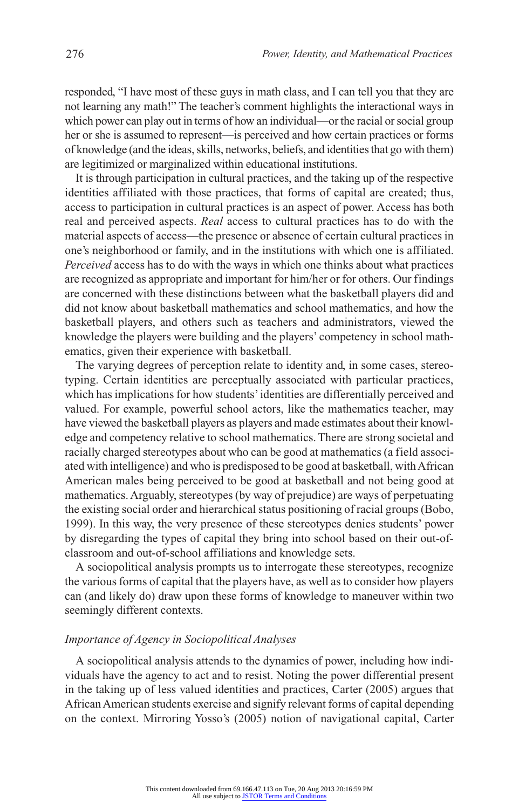responded, "I have most of these guys in math class, and I can tell you that they are not learning any math!" The teacher's comment highlights the interactional ways in which power can play out in terms of how an individual—or the racial or social group her or she is assumed to represent—is perceived and how certain practices or forms of knowledge (and the ideas, skills, networks, beliefs, and identities that go with them) are legitimized or marginalized within educational institutions.

It is through participation in cultural practices, and the taking up of the respective identities affiliated with those practices, that forms of capital are created; thus, access to participation in cultural practices is an aspect of power. Access has both real and perceived aspects. *Real* access to cultural practices has to do with the material aspects of access—the presence or absence of certain cultural practices in one's neighborhood or family, and in the institutions with which one is affiliated. *Perceived* access has to do with the ways in which one thinks about what practices are recognized as appropriate and important for him/her or for others. Our findings are concerned with these distinctions between what the basketball players did and did not know about basketball mathematics and school mathematics, and how the basketball players, and others such as teachers and administrators, viewed the knowledge the players were building and the players' competency in school mathematics, given their experience with basketball.

The varying degrees of perception relate to identity and, in some cases, stereotyping. Certain identities are perceptually associated with particular practices, which has implications for how students' identities are differentially perceived and valued. For example, powerful school actors, like the mathematics teacher, may have viewed the basketball players as players and made estimates about their knowledge and competency relative to school mathematics. There are strong societal and racially charged stereotypes about who can be good at mathematics (a field associated with intelligence) and who is predisposed to be good at basketball, with African American males being perceived to be good at basketball and not being good at mathematics. Arguably, stereotypes (by way of prejudice) are ways of perpetuating the existing social order and hierarchical status positioning of racial groups (Bobo, 1999). In this way, the very presence of these stereotypes denies students' power by disregarding the types of capital they bring into school based on their out-ofclassroom and out-of-school affiliations and knowledge sets.

A sociopolitical analysis prompts us to interrogate these stereotypes, recognize the various forms of capital that the players have, as well as to consider how players can (and likely do) draw upon these forms of knowledge to maneuver within two seemingly different contexts.

## *Importance of Agency in Sociopolitical Analyses*

A sociopolitical analysis attends to the dynamics of power, including how individuals have the agency to act and to resist. Noting the power differential present in the taking up of less valued identities and practices, Carter (2005) argues that African American students exercise and signify relevant forms of capital depending on the context. Mirroring Yosso's (2005) notion of navigational capital, Carter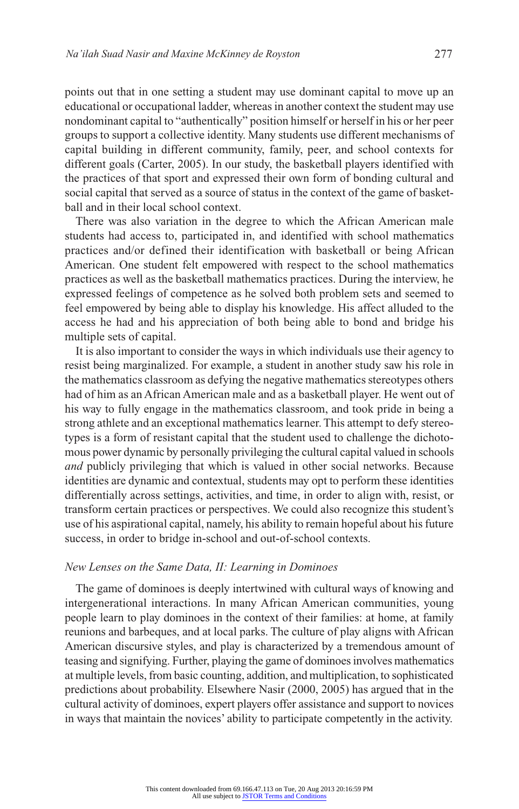points out that in one setting a student may use dominant capital to move up an educational or occupational ladder, whereas in another context the student may use nondominant capital to "authentically" position himself or herself in his or her peer groups to support a collective identity. Many students use different mechanisms of capital building in different community, family, peer, and school contexts for different goals (Carter, 2005). In our study, the basketball players identified with the practices of that sport and expressed their own form of bonding cultural and social capital that served as a source of status in the context of the game of basketball and in their local school context.

There was also variation in the degree to which the African American male students had access to, participated in, and identified with school mathematics practices and/or defined their identification with basketball or being African American. One student felt empowered with respect to the school mathematics practices as well as the basketball mathematics practices. During the interview, he expressed feelings of competence as he solved both problem sets and seemed to feel empowered by being able to display his knowledge. His affect alluded to the access he had and his appreciation of both being able to bond and bridge his multiple sets of capital.

It is also important to consider the ways in which individuals use their agency to resist being marginalized. For example, a student in another study saw his role in the mathematics classroom as defying the negative mathematics stereotypes others had of him as an African American male and as a basketball player. He went out of his way to fully engage in the mathematics classroom, and took pride in being a strong athlete and an exceptional mathematics learner. This attempt to defy stereotypes is a form of resistant capital that the student used to challenge the dichotomous power dynamic by personally privileging the cultural capital valued in schools *and* publicly privileging that which is valued in other social networks. Because identities are dynamic and contextual, students may opt to perform these identities differentially across settings, activities, and time, in order to align with, resist, or transform certain practices or perspectives. We could also recognize this student's use of his aspirational capital, namely, his ability to remain hopeful about his future success, in order to bridge in-school and out-of-school contexts.

#### *New Lenses on the Same Data, II: Learning in Dominoes*

The game of dominoes is deeply intertwined with cultural ways of knowing and intergenerational interactions. In many African American communities, young people learn to play dominoes in the context of their families: at home, at family reunions and barbeques, and at local parks. The culture of play aligns with African American discursive styles, and play is characterized by a tremendous amount of teasing and signifying. Further, playing the game of dominoes involves mathematics at multiple levels, from basic counting, addition, and multiplication, to sophisticated predictions about probability. Elsewhere Nasir (2000, 2005) has argued that in the cultural activity of dominoes, expert players offer assistance and support to novices in ways that maintain the novices' ability to participate competently in the activity.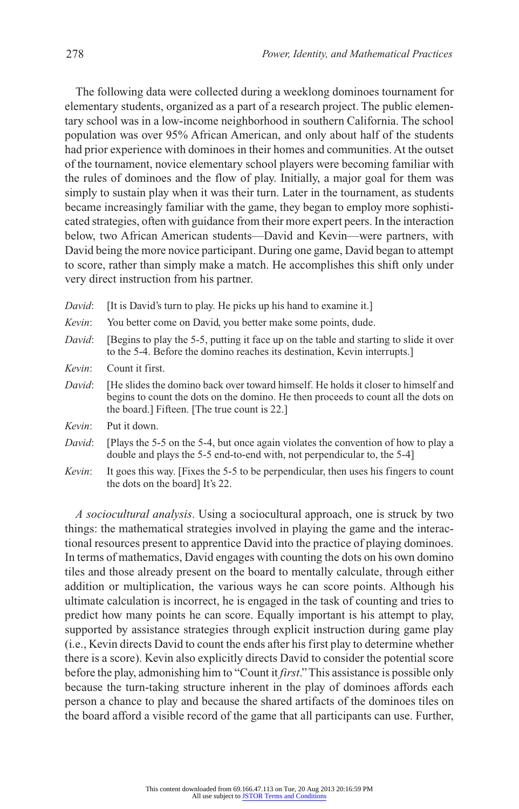The following data were collected during a weeklong dominoes tournament for elementary students, organized as a part of a research project. The public elementary school was in a low-income neighborhood in southern California. The school population was over 95% African American, and only about half of the students had prior experience with dominoes in their homes and communities. At the outset of the tournament, novice elementary school players were becoming familiar with the rules of dominoes and the flow of play. Initially, a major goal for them was simply to sustain play when it was their turn. Later in the tournament, as students became increasingly familiar with the game, they began to employ more sophisticated strategies, often with guidance from their more expert peers. In the interaction below, two African American students—David and Kevin—were partners, with David being the more novice participant. During one game, David began to attempt to score, rather than simply make a match. He accomplishes this shift only under very direct instruction from his partner.

| David: | [It is David's turn to play. He picks up his hand to examine it.]                                                                                                                                                      |
|--------|------------------------------------------------------------------------------------------------------------------------------------------------------------------------------------------------------------------------|
| Kevin: | You better come on David, you better make some points, dude.                                                                                                                                                           |
| David: | [Begins to play the 5-5, putting it face up on the table and starting to slide it over<br>to the 5-4. Before the domino reaches its destination, Kevin interrupts.                                                     |
| Kevin: | Count it first.                                                                                                                                                                                                        |
| David: | [He slides the domino back over toward himself. He holds it closer to himself and<br>begins to count the dots on the domino. He then proceeds to count all the dots on<br>the board.] Fifteen. [The true count is 22.] |
| Kevin: | Put it down.                                                                                                                                                                                                           |
| David: | [Plays the 5-5 on the 5-4, but once again violates the convention of how to play a<br>double and plays the 5-5 end-to-end with, not perpendicular to, the 5-4]                                                         |
|        | $\mathcal{U}$ , the said $\mathcal{U}$ is the same $\mathcal{U}$ and $\mathcal{U}$ is the same $\mathcal{U}$ in $\mathcal{U}$ . The same $\mathcal{U}$                                                                 |

*Kevin*: It goes this way. [Fixes the 5-5 to be perpendicular, then uses his fingers to count the dots on the board] It's 22.

*A sociocultural analysis*. Using a sociocultural approach, one is struck by two things: the mathematical strategies involved in playing the game and the interactional resources present to apprentice David into the practice of playing dominoes. In terms of mathematics, David engages with counting the dots on his own domino tiles and those already present on the board to mentally calculate, through either addition or multiplication, the various ways he can score points. Although his ultimate calculation is incorrect, he is engaged in the task of counting and tries to predict how many points he can score. Equally important is his attempt to play, supported by assistance strategies through explicit instruction during game play (i.e., Kevin directs David to count the ends after his first play to determine whether there is a score). Kevin also explicitly directs David to consider the potential score before the play, admonishing him to "Count it *first*." This assistance is possible only because the turn-taking structure inherent in the play of dominoes affords each person a chance to play and because the shared artifacts of the dominoes tiles on the board afford a visible record of the game that all participants can use. Further,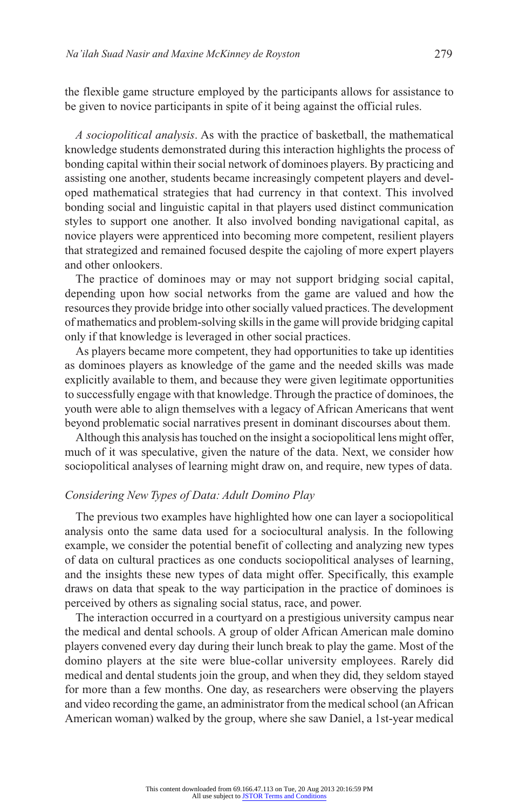the flexible game structure employed by the participants allows for assistance to be given to novice participants in spite of it being against the official rules.

*A sociopolitical analysis*. As with the practice of basketball, the mathematical knowledge students demonstrated during this interaction highlights the process of bonding capital within their social network of dominoes players. By practicing and assisting one another, students became increasingly competent players and developed mathematical strategies that had currency in that context. This involved bonding social and linguistic capital in that players used distinct communication styles to support one another. It also involved bonding navigational capital, as novice players were apprenticed into becoming more competent, resilient players that strategized and remained focused despite the cajoling of more expert players and other onlookers.

The practice of dominoes may or may not support bridging social capital, depending upon how social networks from the game are valued and how the resources they provide bridge into other socially valued practices. The development of mathematics and problem-solving skills in the game will provide bridging capital only if that knowledge is leveraged in other social practices.

As players became more competent, they had opportunities to take up identities as dominoes players as knowledge of the game and the needed skills was made explicitly available to them, and because they were given legitimate opportunities to successfully engage with that knowledge. Through the practice of dominoes, the youth were able to align themselves with a legacy of African Americans that went beyond problematic social narratives present in dominant discourses about them.

Although this analysis has touched on the insight a sociopolitical lens might offer, much of it was speculative, given the nature of the data. Next, we consider how sociopolitical analyses of learning might draw on, and require, new types of data.

# *Considering New Types of Data: Adult Domino Play*

The previous two examples have highlighted how one can layer a sociopolitical analysis onto the same data used for a sociocultural analysis. In the following example, we consider the potential benefit of collecting and analyzing new types of data on cultural practices as one conducts sociopolitical analyses of learning, and the insights these new types of data might offer. Specifically, this example draws on data that speak to the way participation in the practice of dominoes is perceived by others as signaling social status, race, and power.

The interaction occurred in a courtyard on a prestigious university campus near the medical and dental schools. A group of older African American male domino players convened every day during their lunch break to play the game. Most of the domino players at the site were blue-collar university employees. Rarely did medical and dental students join the group, and when they did, they seldom stayed for more than a few months. One day, as researchers were observing the players and video recording the game, an administrator from the medical school (an African American woman) walked by the group, where she saw Daniel, a 1st-year medical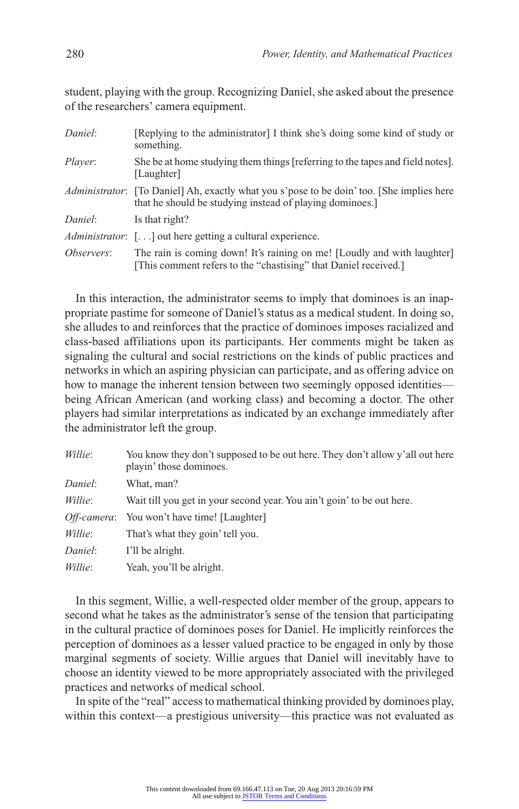student, playing with the group. Recognizing Daniel, she asked about the presence of the researchers' camera equipment.

| Daniel:           | [Replying to the administrator] I think she's doing some kind of study or<br>something.                                                                       |
|-------------------|---------------------------------------------------------------------------------------------------------------------------------------------------------------|
| <i>Player:</i>    | She be at home studying them things [referring to the tapes and field notes].<br>[Laughter]                                                                   |
|                   | <i>Administrator</i> : [To Daniel] Ah, exactly what you s'pose to be doin' too. [She implies here<br>that he should be studying instead of playing dominoes.] |
| Daniel:           | Is that right?                                                                                                                                                |
|                   | <i>Administrator</i> : [] out here getting a cultural experience.                                                                                             |
| <i>Observers:</i> | The rain is coming down! It's raining on me! [Loudly and with laughter]<br>[This comment refers to the "chastising" that Daniel received.]                    |

In this interaction, the administrator seems to imply that dominoes is an inappropriate pastime for someone of Daniel's status as a medical student. In doing so, she alludes to and reinforces that the practice of dominoes imposes racialized and class-based affiliations upon its participants. Her comments might be taken as signaling the cultural and social restrictions on the kinds of public practices and networks in which an aspiring physician can participate, and as offering advice on how to manage the inherent tension between two seemingly opposed identities being African American (and working class) and becoming a doctor. The other players had similar interpretations as indicated by an exchange immediately after the administrator left the group.

| Willie: | You know they don't supposed to be out here. They don't allow y'all out here<br>playin' those dominoes. |
|---------|---------------------------------------------------------------------------------------------------------|
| Daniel: | What, man?                                                                                              |
| Willie: | Wait till you get in your second year. You ain't goin' to be out here.                                  |
|         | <i>Off-camera</i> : You won't have time! [Laughter]                                                     |
| Willie: | That's what they goin' tell you.                                                                        |
| Daniel: | I'll be alright.                                                                                        |
| Willie: | Yeah, you'll be alright.                                                                                |

In this segment, Willie, a well-respected older member of the group, appears to second what he takes as the administrator's sense of the tension that participating in the cultural practice of dominoes poses for Daniel. He implicitly reinforces the perception of dominoes as a lesser valued practice to be engaged in only by those marginal segments of society. Willie argues that Daniel will inevitably have to choose an identity viewed to be more appropriately associated with the privileged practices and networks of medical school.

In spite of the "real" access to mathematical thinking provided by dominoes play, within this context—a prestigious university—this practice was not evaluated as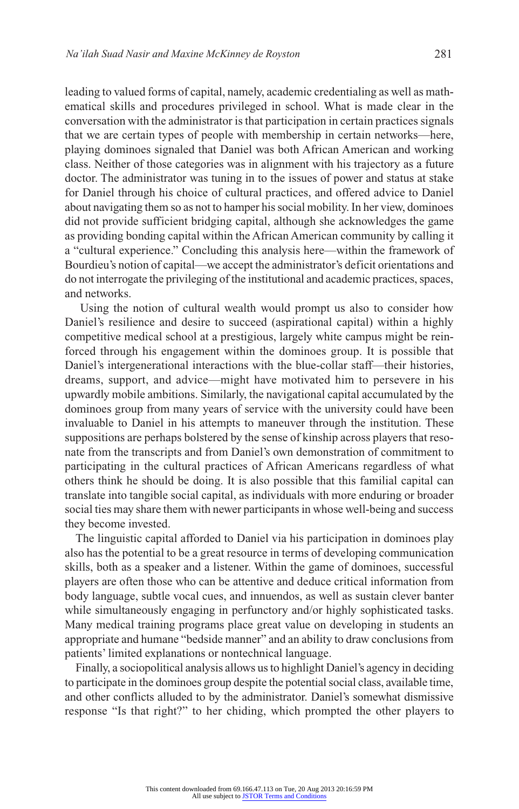leading to valued forms of capital, namely, academic credentialing as well as mathematical skills and procedures privileged in school. What is made clear in the conversation with the administrator is that participation in certain practices signals that we are certain types of people with membership in certain networks—here, playing dominoes signaled that Daniel was both African American and working class. Neither of those categories was in alignment with his trajectory as a future doctor. The administrator was tuning in to the issues of power and status at stake for Daniel through his choice of cultural practices, and offered advice to Daniel about navigating them so as not to hamper his social mobility. In her view, dominoes did not provide sufficient bridging capital, although she acknowledges the game as providing bonding capital within the African American community by calling it a "cultural experience." Concluding this analysis here—within the framework of Bourdieu's notion of capital—we accept the administrator's deficit orientations and do not interrogate the privileging of the institutional and academic practices, spaces, and networks.

 Using the notion of cultural wealth would prompt us also to consider how Daniel's resilience and desire to succeed (aspirational capital) within a highly competitive medical school at a prestigious, largely white campus might be reinforced through his engagement within the dominoes group. It is possible that Daniel's intergenerational interactions with the blue-collar staff—their histories, dreams, support, and advice—might have motivated him to persevere in his upwardly mobile ambitions. Similarly, the navigational capital accumulated by the dominoes group from many years of service with the university could have been invaluable to Daniel in his attempts to maneuver through the institution. These suppositions are perhaps bolstered by the sense of kinship across players that resonate from the transcripts and from Daniel's own demonstration of commitment to participating in the cultural practices of African Americans regardless of what others think he should be doing. It is also possible that this familial capital can translate into tangible social capital, as individuals with more enduring or broader social ties may share them with newer participants in whose well-being and success they become invested.

The linguistic capital afforded to Daniel via his participation in dominoes play also has the potential to be a great resource in terms of developing communication skills, both as a speaker and a listener. Within the game of dominoes, successful players are often those who can be attentive and deduce critical information from body language, subtle vocal cues, and innuendos, as well as sustain clever banter while simultaneously engaging in perfunctory and/or highly sophisticated tasks. Many medical training programs place great value on developing in students an appropriate and humane "bedside manner" and an ability to draw conclusions from patients' limited explanations or nontechnical language.

Finally, a sociopolitical analysis allows us to highlight Daniel's agency in deciding to participate in the dominoes group despite the potential social class, available time, and other conflicts alluded to by the administrator. Daniel's somewhat dismissive response "Is that right?" to her chiding, which prompted the other players to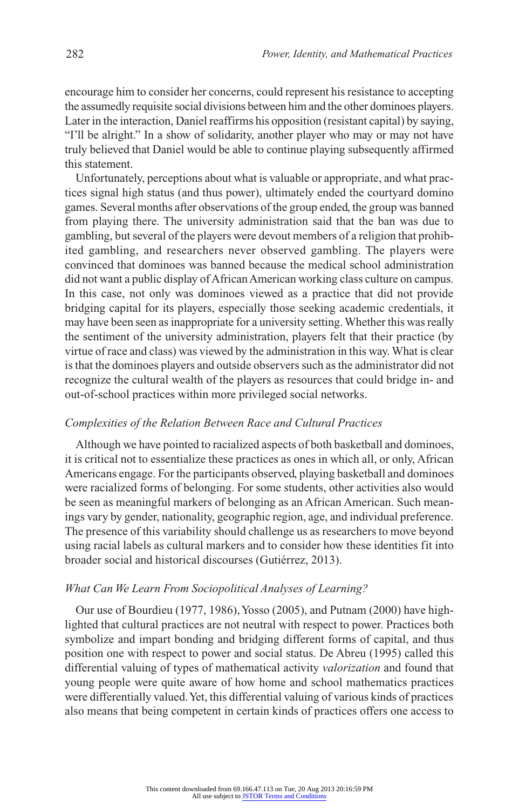encourage him to consider her concerns, could represent his resistance to accepting the assumedly requisite social divisions between him and the other dominoes players. Later in the interaction, Daniel reaffirms his opposition (resistant capital) by saying, "I'll be alright." In a show of solidarity, another player who may or may not have truly believed that Daniel would be able to continue playing subsequently affirmed this statement.

Unfortunately, perceptions about what is valuable or appropriate, and what practices signal high status (and thus power), ultimately ended the courtyard domino games. Several months after observations of the group ended, the group was banned from playing there. The university administration said that the ban was due to gambling, but several of the players were devout members of a religion that prohibited gambling, and researchers never observed gambling. The players were convinced that dominoes was banned because the medical school administration did not want a public display of African American working class culture on campus. In this case, not only was dominoes viewed as a practice that did not provide bridging capital for its players, especially those seeking academic credentials, it may have been seen as inappropriate for a university setting. Whether this was really the sentiment of the university administration, players felt that their practice (by virtue of race and class) was viewed by the administration in this way. What is clear is that the dominoes players and outside observers such as the administrator did not recognize the cultural wealth of the players as resources that could bridge in- and out-of-school practices within more privileged social networks.

## *Complexities of the Relation Between Race and Cultural Practices*

Although we have pointed to racialized aspects of both basketball and dominoes, it is critical not to essentialize these practices as ones in which all, or only, African Americans engage. For the participants observed, playing basketball and dominoes were racialized forms of belonging. For some students, other activities also would be seen as meaningful markers of belonging as an African American. Such meanings vary by gender, nationality, geographic region, age, and individual preference. The presence of this variability should challenge us as researchers to move beyond using racial labels as cultural markers and to consider how these identities fit into broader social and historical discourses (Gutiérrez, 2013).

#### *What Can We Learn From Sociopolitical Analyses of Learning?*

Our use of Bourdieu (1977, 1986), Yosso (2005), and Putnam (2000) have highlighted that cultural practices are not neutral with respect to power. Practices both symbolize and impart bonding and bridging different forms of capital, and thus position one with respect to power and social status. De Abreu (1995) called this differential valuing of types of mathematical activity *valorization* and found that young people were quite aware of how home and school mathematics practices were differentially valued. Yet, this differential valuing of various kinds of practices also means that being competent in certain kinds of practices offers one access to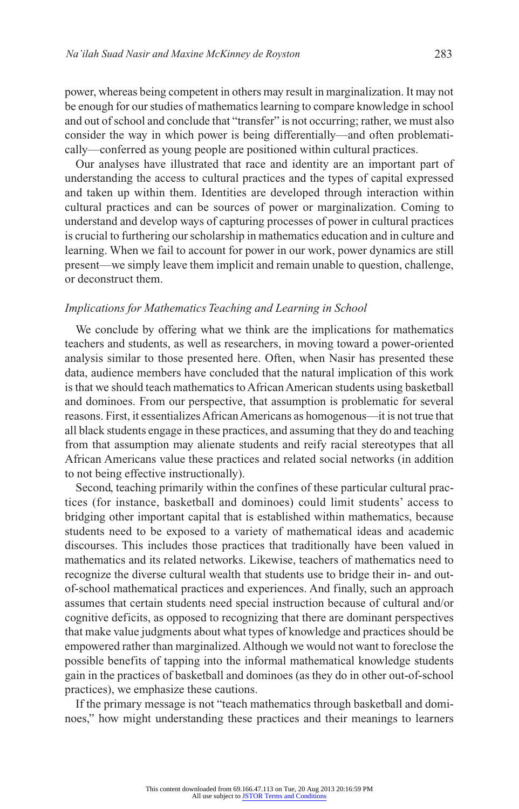power, whereas being competent in others may result in marginalization. It may not be enough for our studies of mathematics learning to compare knowledge in school and out of school and conclude that "transfer" is not occurring; rather, we must also consider the way in which power is being differentially—and often problematically—conferred as young people are positioned within cultural practices.

Our analyses have illustrated that race and identity are an important part of understanding the access to cultural practices and the types of capital expressed and taken up within them. Identities are developed through interaction within cultural practices and can be sources of power or marginalization. Coming to understand and develop ways of capturing processes of power in cultural practices is crucial to furthering our scholarship in mathematics education and in culture and learning. When we fail to account for power in our work, power dynamics are still present—we simply leave them implicit and remain unable to question, challenge, or deconstruct them.

## *Implications for Mathematics Teaching and Learning in School*

We conclude by offering what we think are the implications for mathematics teachers and students, as well as researchers, in moving toward a power-oriented analysis similar to those presented here. Often, when Nasir has presented these data, audience members have concluded that the natural implication of this work is that we should teach mathematics to African American students using basketball and dominoes. From our perspective, that assumption is problematic for several reasons. First, it essentializes African Americans as homogenous—it is not true that all black students engage in these practices, and assuming that they do and teaching from that assumption may alienate students and reify racial stereotypes that all African Americans value these practices and related social networks (in addition to not being effective instructionally).

Second, teaching primarily within the confines of these particular cultural practices (for instance, basketball and dominoes) could limit students' access to bridging other important capital that is established within mathematics, because students need to be exposed to a variety of mathematical ideas and academic discourses. This includes those practices that traditionally have been valued in mathematics and its related networks. Likewise, teachers of mathematics need to recognize the diverse cultural wealth that students use to bridge their in- and outof-school mathematical practices and experiences. And finally, such an approach assumes that certain students need special instruction because of cultural and/or cognitive deficits, as opposed to recognizing that there are dominant perspectives that make value judgments about what types of knowledge and practices should be empowered rather than marginalized. Although we would not want to foreclose the possible benefits of tapping into the informal mathematical knowledge students gain in the practices of basketball and dominoes (as they do in other out-of-school practices), we emphasize these cautions.

If the primary message is not "teach mathematics through basketball and dominoes," how might understanding these practices and their meanings to learners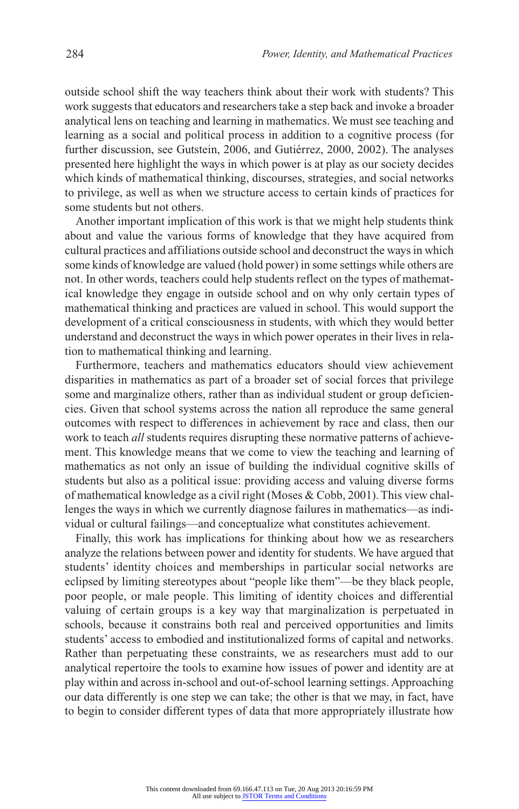outside school shift the way teachers think about their work with students? This work suggests that educators and researchers take a step back and invoke a broader analytical lens on teaching and learning in mathematics. We must see teaching and learning as a social and political process in addition to a cognitive process (for further discussion, see Gutstein, 2006, and Gutiérrez, 2000, 2002). The analyses presented here highlight the ways in which power is at play as our society decides which kinds of mathematical thinking, discourses, strategies, and social networks to privilege, as well as when we structure access to certain kinds of practices for some students but not others.

Another important implication of this work is that we might help students think about and value the various forms of knowledge that they have acquired from cultural practices and affiliations outside school and deconstruct the ways in which some kinds of knowledge are valued (hold power) in some settings while others are not. In other words, teachers could help students reflect on the types of mathematical knowledge they engage in outside school and on why only certain types of mathematical thinking and practices are valued in school. This would support the development of a critical consciousness in students, with which they would better understand and deconstruct the ways in which power operates in their lives in relation to mathematical thinking and learning.

Furthermore, teachers and mathematics educators should view achievement disparities in mathematics as part of a broader set of social forces that privilege some and marginalize others, rather than as individual student or group deficiencies. Given that school systems across the nation all reproduce the same general outcomes with respect to differences in achievement by race and class, then our work to teach *all* students requires disrupting these normative patterns of achievement. This knowledge means that we come to view the teaching and learning of mathematics as not only an issue of building the individual cognitive skills of students but also as a political issue: providing access and valuing diverse forms of mathematical knowledge as a civil right (Moses & Cobb, 2001). This view challenges the ways in which we currently diagnose failures in mathematics—as individual or cultural failings—and conceptualize what constitutes achievement.

Finally, this work has implications for thinking about how we as researchers analyze the relations between power and identity for students. We have argued that students' identity choices and memberships in particular social networks are eclipsed by limiting stereotypes about "people like them"—be they black people, poor people, or male people. This limiting of identity choices and differential valuing of certain groups is a key way that marginalization is perpetuated in schools, because it constrains both real and perceived opportunities and limits students' access to embodied and institutionalized forms of capital and networks. Rather than perpetuating these constraints, we as researchers must add to our analytical repertoire the tools to examine how issues of power and identity are at play within and across in-school and out-of-school learning settings. Approaching our data differently is one step we can take; the other is that we may, in fact, have to begin to consider different types of data that more appropriately illustrate how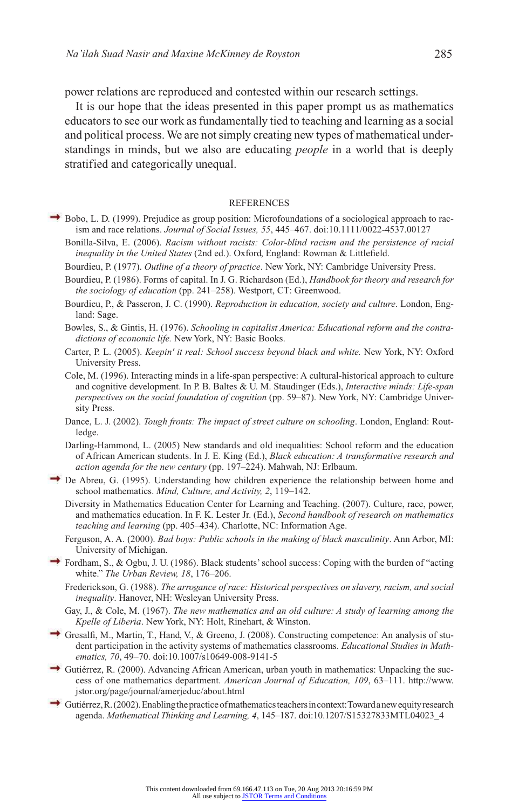power relations are reproduced and contested within our research settings.

It is our hope that the ideas presented in this paper prompt us as mathematics educators to see our work as fundamentally tied to teaching and learning as a social and political process. We are not simply creating new types of mathematical understandings in minds, but we also are educating *people* in a world that is deeply stratified and categorically unequal.

#### **REFERENCES**

- $\rightarrow$  Bobo, L. D. (1999). Prejudice as group position: Microfoundations of a sociological approach to racism and race relations. *Journal of Social Issues, 55*, 445–467. doi:10.1111/0022-4537.00127
	- Bonilla-Silva, E. (2006). *Racism without racists: Color-blind racism and the persistence of racial inequality in the United States* (2nd ed.). Oxford, England: Rowman & Littlefield.
	- Bourdieu, P. (1977). *Outline of a theory of practice*. New York, NY: Cambridge University Press.
	- Bourdieu, P. (1986). Forms of capital. In J. G. Richardson (Ed.), *Handbook for theory and research for the sociology of education* (pp. 241–258). Westport, CT: Greenwood.
	- Bourdieu, P., & Passeron, J. C. (1990). *Reproduction in education, society and culture*. London, England: Sage.
	- Bowles, S., & Gintis, H. (1976). *Schooling in capitalist America: Educational reform and the contradictions of economic life.* New York, NY: Basic Books.
	- Carter, P. L. (2005). *Keepin' it real: School success beyond black and white.* New York, NY: Oxford University Press.
	- Cole, M. (1996). Interacting minds in a life-span perspective: A cultural-historical approach to culture and cognitive development. In P. B. Baltes & U. M. Staudinger (Eds.), *Interactive minds: Life-span perspectives on the social foundation of cognition* (pp. 59–87). New York, NY: Cambridge University Press.
	- Dance, L. J. (2002). *Tough fronts: The impact of street culture on schooling*. London, England: Routledge.
	- Darling-Hammond, L. (2005) New standards and old inequalities: School reform and the education of African American students. In J. E. King (Ed.), *Black education: A transformative research and action agenda for the new century* (pp. 197–224). Mahwah, NJ: Erlbaum.
- $\rightarrow$  De Abreu, G. (1995). Understanding how children experience the relationship between home and school mathematics. *Mind, Culture, and Activity, 2*, 119–142.
	- Diversity in Mathematics Education Center for Learning and Teaching. (2007). Culture, race, power, and mathematics education. In F. K. Lester Jr. (Ed.), *Second handbook of research on mathematics teaching and learning* (pp. 405–434). Charlotte, NC: Information Age.
	- Ferguson, A. A. (2000). *Bad boys: Public schools in the making of black masculinity*. Ann Arbor, MI: University of Michigan.
- $\rightarrow$  Fordham, S., & Ogbu, J. U. (1986). Black students' school success: Coping with the burden of "acting" white." *The Urban Review, 18*, 176–206.
	- Frederickson, G. (1988). *The arrogance of race: Historical perspectives on slavery, racism, and social inequality*. Hanover, NH: Wesleyan University Press.
	- Gay, J., & Cole, M. (1967). *The new mathematics and an old culture: A study of learning among the Kpelle of Liberia*. New York, NY: Holt, Rinehart, & Winston.
- Gresalfi, M., Martin, T., Hand, V., & Greeno, J. (2008). Constructing competence: An analysis of student participation in the activity systems of mathematics classrooms. *Educational Studies in Mathematics, 70*, 49–70. doi:10.1007/s10649-008-9141-5
- Gutiérrez, R. (2000). Advancing African American, urban youth in mathematics: Unpacking the success of one mathematics department. *American Journal of Education, 109*, 63–111. http://www. jstor.org/page/journal/amerjeduc/about.html
- Gutiérrez, R. (2002). Enabling the practice of mathematics teachers in context: Toward a new equity research agenda. *Mathematical Thinking and Learning, 4*, 145–187. doi:10.1207/S15327833MTL04023\_4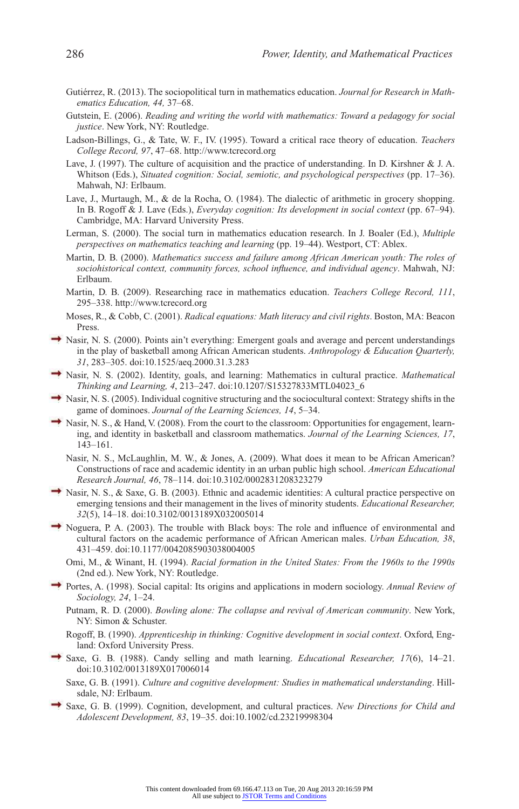- Gutiérrez, R. (2013). The sociopolitical turn in mathematics education. *Journal for Research in Mathematics Education, 44,* 37–68.
- Gutstein, E. (2006). *Reading and writing the world with mathematics: Toward a pedagogy for social justice*. New York, NY: Routledge.
- Ladson-Billings, G., & Tate, W. F., IV. (1995). Toward a critical race theory of education. *Teachers College Record, 97*, 47–68. http://www.tcrecord.org
- Lave, J. (1997). The culture of acquisition and the practice of understanding. In D. Kirshner & J. A. Whitson (Eds.), *Situated cognition: Social, semiotic, and psychological perspectives* (pp. 17–36). Mahwah, NJ: Erlbaum.
- Lave, J., Murtaugh, M., & de la Rocha, O. (1984). The dialectic of arithmetic in grocery shopping. In B. Rogoff & J. Lave (Eds.), *Everyday cognition: Its development in social context* (pp. 67–94). Cambridge, MA: Harvard University Press.
- Lerman, S. (2000). The social turn in mathematics education research. In J. Boaler (Ed.), *Multiple perspectives on mathematics teaching and learning* (pp. 19–44). Westport, CT: Ablex.
- Martin, D. B. (2000). *Mathematics success and failure among African American youth: The roles of sociohistorical context, community forces, school influence, and individual agency*. Mahwah, NJ: Erlbaum.
- Martin, D. B. (2009). Researching race in mathematics education. *Teachers College Record, 111*, 295–338. http://www.tcrecord.org
- Moses, R., & Cobb, C. (2001). *Radical equations: Math literacy and civil rights*. Boston, MA: Beacon Press.
- Nasir, N. S. (2000). Points ain't everything: Emergent goals and average and percent understandings in the play of basketball among African American students. *Anthropology & Education Quarterly, 31*, 283–305. doi:10.1525/aeq.2000.31.3.283
- Nasir, N. S. (2002). Identity, goals, and learning: Mathematics in cultural practice. *Mathematical Thinking and Learning, 4*, 213–247. doi:10.1207/S15327833MTL04023\_6
- Nasir, N. S. (2005). Individual cognitive structuring and the sociocultural context: Strategy shifts in the game of dominoes. *Journal of the Learning Sciences, 14*, 5–34.
- Nasir, N. S., & Hand, V. (2008). From the court to the classroom: Opportunities for engagement, learning, and identity in basketball and classroom mathematics. *Journal of the Learning Sciences, 17*, 143–161.
	- Nasir, N. S., McLaughlin, M. W., & Jones, A. (2009). What does it mean to be African American? Constructions of race and academic identity in an urban public high school. *American Educational Research Journal, 46*, 78–114. doi:10.3102/0002831208323279
- Nasir, N. S., & Saxe, G. B. (2003). Ethnic and academic identities: A cultural practice perspective on emerging tensions and their management in the lives of minority students. *Educational Researcher, 32*(5), 14–18. doi:10.3102/0013189X032005014
- Noguera, P. A. (2003). The trouble with Black boys: The role and influence of environmental and cultural factors on the academic performance of African American males. *Urban Education, 38*, 431–459. doi:10.1177/0042085903038004005
	- Omi, M., & Winant, H. (1994). *Racial formation in the United States: From the 1960s to the 1990s* (2nd ed.). New York, NY: Routledge.
- Portes, A. (1998). Social capital: Its origins and applications in modern sociology. *Annual Review of Sociology, 24*, 1–24.
	- Putnam, R. D. (2000). *Bowling alone: The collapse and revival of American community*. New York, NY: Simon & Schuster.
	- Rogoff, B. (1990). *Apprenticeship in thinking: Cognitive development in social context*. Oxford, England: Oxford University Press.
- Saxe, G. B. (1988). Candy selling and math learning. *Educational Researcher, 17*(6), 14–21. doi:10.3102/0013189X017006014
	- Saxe, G. B. (1991). *Culture and cognitive development: Studies in mathematical understanding*. Hillsdale, NJ: Erlbaum.
- Saxe, G. B. (1999). Cognition, development, and cultural practices. *New Directions for Child and Adolescent Development, 83*, 19–35. doi:10.1002/cd.23219998304